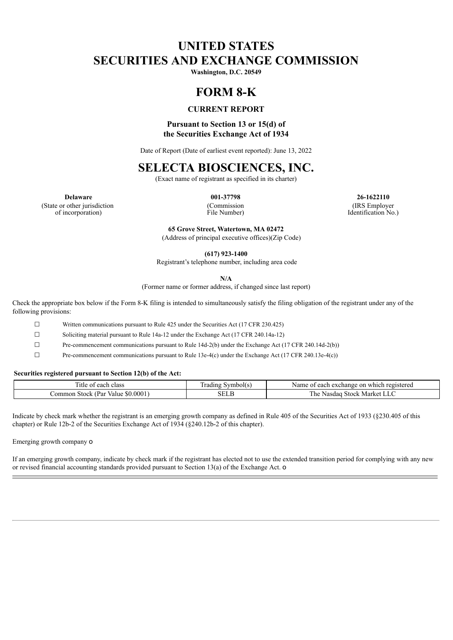# **UNITED STATES SECURITIES AND EXCHANGE COMMISSION**

**Washington, D.C. 20549**

# **FORM 8-K**

## **CURRENT REPORT**

## **Pursuant to Section 13 or 15(d) of the Securities Exchange Act of 1934**

Date of Report (Date of earliest event reported): June 13, 2022

# **SELECTA BIOSCIENCES, INC.**

(Exact name of registrant as specified in its charter)

(State or other jurisdiction of incorporation)

(Commission File Number)

**Delaware 001-37798 26-1622110** (IRS Employer Identification No.)

> **65 Grove Street, Watertown, MA 02472** (Address of principal executive offices)(Zip Code)

> > **(617) 923-1400**

Registrant's telephone number, including area code

**N/A**

(Former name or former address, if changed since last report)

Check the appropriate box below if the Form 8-K filing is intended to simultaneously satisfy the filing obligation of the registrant under any of the following provisions:

☐ Written communications pursuant to Rule 425 under the Securities Act (17 CFR 230.425)

☐ Soliciting material pursuant to Rule 14a-12 under the Exchange Act (17 CFR 240.14a-12)

☐ Pre-commencement communications pursuant to Rule 14d-2(b) under the Exchange Act (17 CFR 240.14d-2(b))

☐ Pre-commencement communications pursuant to Rule 13e-4(c) under the Exchange Act (17 CFR 240.13e-4(c))

#### **Securities registered pursuant to Section 12(b) of the Act:**

| --<br>' Itl<br>class<br>each<br>$\sim$                   | radin<br>nholl | each<br>registered<br>Name of<br>which<br>exchange<br>n     |
|----------------------------------------------------------|----------------|-------------------------------------------------------------|
| 0001<br>(Par<br>_ommon *<br><b>Stock</b><br>Value<br>NO. | . н            | ---<br>1 he<br>. $510cV$<br>Market<br>.dac<br>Na.<br>◡<br>◡ |

Indicate by check mark whether the registrant is an emerging growth company as defined in Rule 405 of the Securities Act of 1933 (§230.405 of this chapter) or Rule 12b-2 of the Securities Exchange Act of 1934 (§240.12b-2 of this chapter).

Emerging growth company o

If an emerging growth company, indicate by check mark if the registrant has elected not to use the extended transition period for complying with any new or revised financial accounting standards provided pursuant to Section 13(a) of the Exchange Act. o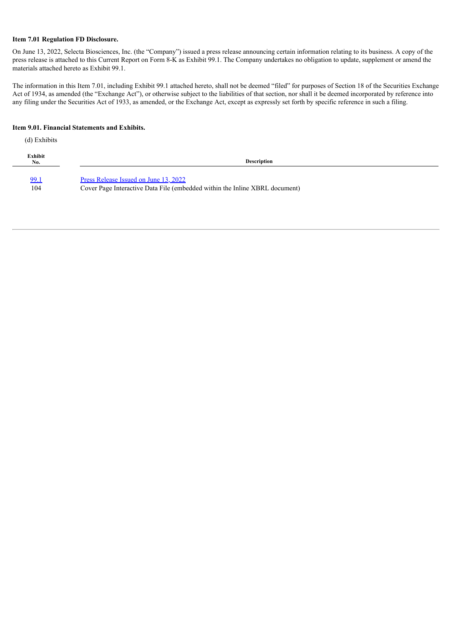### **Item 7.01 Regulation FD Disclosure.**

On June 13, 2022, Selecta Biosciences, Inc. (the "Company") issued a press release announcing certain information relating to its business. A copy of the press release is attached to this Current Report on Form 8-K as Exhibit 99.1. The Company undertakes no obligation to update, supplement or amend the materials attached hereto as Exhibit 99.1.

The information in this Item 7.01, including Exhibit 99.1 attached hereto, shall not be deemed "filed" for purposes of Section 18 of the Securities Exchange Act of 1934, as amended (the "Exchange Act"), or otherwise subject to the liabilities of that section, nor shall it be deemed incorporated by reference into any filing under the Securities Act of 1933, as amended, or the Exchange Act, except as expressly set forth by specific reference in such a filing.

#### **Item 9.01. Financial Statements and Exhibits.**

(d) Exhibits

| Exhibit<br>No. | <b>Description</b>                                                          |  |
|----------------|-----------------------------------------------------------------------------|--|
| 99.1           | Press Release Issued on June 13, 2022                                       |  |
| 104            | Cover Page Interactive Data File (embedded within the Inline XBRL document) |  |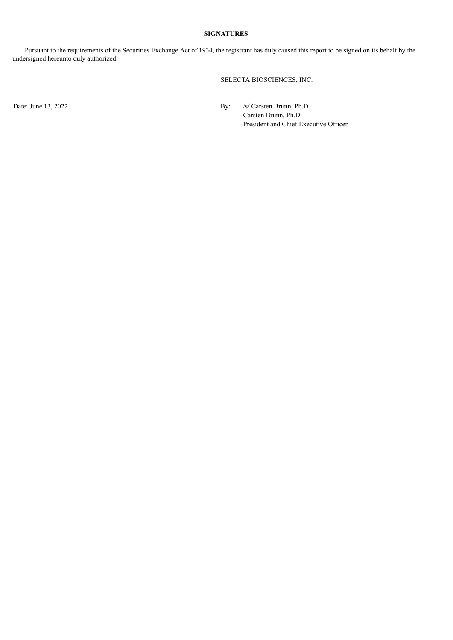#### **SIGNATURES**

Pursuant to the requirements of the Securities Exchange Act of 1934, the registrant has duly caused this report to be signed on its behalf by the undersigned hereunto duly authorized.

SELECTA BIOSCIENCES, INC.

Date: June 13, 2022 By: /s/ Carsten Brunn, Ph.D.

Carsten Brunn, Ph.D. President and Chief Executive Officer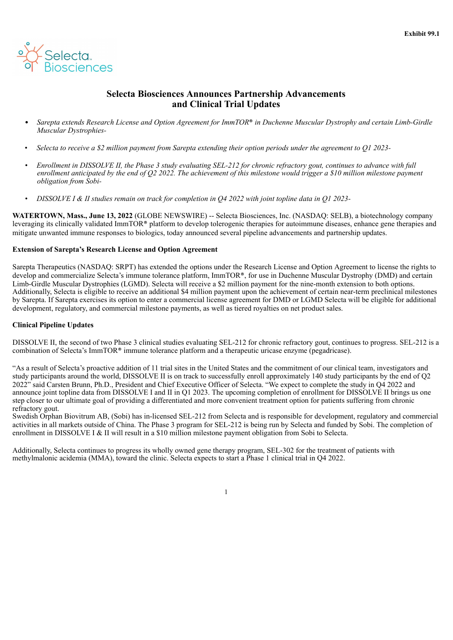<span id="page-3-0"></span>

# **Selecta Biosciences Announces Partnership Advancements and Clinical Trial Updates**

- Sarepta extends Research License and Option Agreement for ImmTOR® in Duchenne Muscular Dystrophy and certain Limb-Girdle *Muscular Dystrophies-*
- Selecta to receive a \$2 million payment from Sarepta extending their option periods under the agreement to O1 2023-
- Enrollment in DISSOLVE II, the Phase 3 study evaluating SEL-212 for chronic refractory gout, continues to advance with full enrollment anticipated by the end of Q2 2022. The achievement of this milestone would trigger a \$10 million milestone payment *obligation from Sobi-*
- DISSOLVE I & II studies remain on track for completion in O4 2022 with joint topline data in O1 2023-

**WATERTOWN, Mass., June 13, 2022** (GLOBE NEWSWIRE) -- Selecta Biosciences, Inc. (NASDAQ: SELB), a biotechnology company leveraging its clinically validated ImmTOR® platform to develop tolerogenic therapies for autoimmune diseases, enhance gene therapies and mitigate unwanted immune responses to biologics, today announced several pipeline advancements and partnership updates.

#### **Extension of Sarepta's Research License and Option Agreement**

Sarepta Therapeutics (NASDAQ: SRPT) has extended the options under the Research License and Option Agreement to license the rights to develop and commercialize Selecta's immune tolerance platform, ImmTOR®, for use in Duchenne Muscular Dystrophy (DMD) and certain Limb-Girdle Muscular Dystrophies (LGMD). Selecta will receive a \$2 million payment for the nine-month extension to both options. Additionally, Selecta is eligible to receive an additional \$4 million payment upon the achievement of certain near-term preclinical milestones by Sarepta. If Sarepta exercises its option to enter a commercial license agreement for DMD or LGMD Selecta will be eligible for additional development, regulatory, and commercial milestone payments, as well as tiered royalties on net product sales.

#### **Clinical Pipeline Updates**

DISSOLVE II, the second of two Phase 3 clinical studies evaluating SEL-212 for chronic refractory gout, continues to progress. SEL-212 is a combination of Selecta's ImmTOR® immune tolerance platform and a therapeutic uricase enzyme (pegadricase).

"As a result of Selecta's proactive addition of 11 trial sites in the United States and the commitment of our clinical team, investigators and study participants around the world, DISSOLVE II is on track to successfully enroll approximately 140 study participants by the end of Q2 2022" said Carsten Brunn, Ph.D., President and Chief Executive Officer of Selecta. "We expect to complete the study in Q4 2022 and announce joint topline data from DISSOLVE I and II in Q1 2023. The upcoming completion of enrollment for DISSOLVE II brings us one step closer to our ultimate goal of providing a differentiated and more convenient treatment option for patients suffering from chronic refractory gout.

Swedish Orphan Biovitrum AB, (Sobi) has in-licensed SEL-212 from Selecta and is responsible for development, regulatory and commercial activities in all markets outside of China. The Phase 3 program for SEL-212 is being run by Selecta and funded by Sobi. The completion of enrollment in DISSOLVE I & II will result in a \$10 million milestone payment obligation from Sobi to Selecta.

Additionally, Selecta continues to progress its wholly owned gene therapy program, SEL-302 for the treatment of patients with methylmalonic acidemia (MMA), toward the clinic. Selecta expects to start a Phase 1 clinical trial in Q4 2022.

1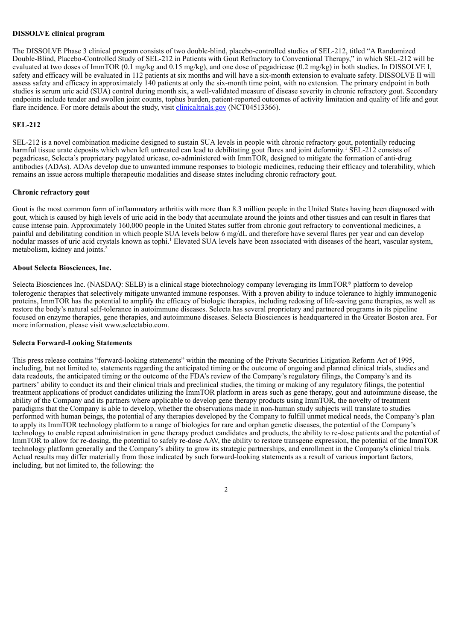#### **DISSOLVE clinical program**

The DISSOLVE Phase 3 clinical program consists of two double-blind, placebo-controlled studies of SEL-212, titled "A Randomized Double-Blind, Placebo-Controlled Study of SEL-212 in Patients with Gout Refractory to Conventional Therapy," in which SEL-212 will be evaluated at two doses of ImmTOR (0.1 mg/kg and 0.15 mg/kg), and one dose of pegadricase (0.2 mg/kg) in both studies. In DISSOLVE I, safety and efficacy will be evaluated in 112 patients at six months and will have a six-month extension to evaluate safety. DISSOLVE II will assess safety and efficacy in approximately 140 patients at only the six-month time point, with no extension. The primary endpoint in both studies is serum uric acid (SUA) control during month six, a well-validated measure of disease severity in chronic refractory gout. Secondary endpoints include tender and swollen joint counts, tophus burden, patient-reported outcomes of activity limitation and quality of life and gout flare incidence. For more details about the study, visit clinicaltrials.gov (NCT04513366).

#### **SEL-212**

SEL-212 is a novel combination medicine designed to sustain SUA levels in people with chronic refractory gout, potentially reducing harmful tissue urate deposits which when left untreated can lead to debilitating gout flares and joint deformity.<sup>1</sup> SEL-212 consists of pegadricase, Selecta's proprietary pegylated uricase, co-administered with ImmTOR, designed to mitigate the formation of anti-drug antibodies (ADAs). ADAs develop due to unwanted immune responses to biologic medicines, reducing their efficacy and tolerability, which remains an issue across multiple therapeutic modalities and disease states including chronic refractory gout.

#### **Chronic refractory gout**

Gout is the most common form of inflammatory arthritis with more than 8.3 million people in the United States having been diagnosed with gout, which is caused by high levels of uric acid in the body that accumulate around the joints and other tissues and can result in flares that cause intense pain. Approximately 160,000 people in the United States suffer from chronic gout refractory to conventional medicines, a painful and debilitating condition in which people SUA levels below 6 mg/dL and therefore have several flares per year and can develop nodular masses of uric acid crystals known as tophi.<sup>1</sup> Elevated SUA levels have been associated with diseases of the heart, vascular system, metabolism, kidney and joints. 2

#### **About Selecta Biosciences, Inc.**

Selecta Biosciences Inc. (NASDAQ: SELB) is a clinical stage biotechnology company leveraging its ImmTOR® platform to develop tolerogenic therapies that selectively mitigate unwanted immune responses. With a proven ability to induce tolerance to highly immunogenic proteins, ImmTOR has the potential to amplify the efficacy of biologic therapies, including redosing of life-saving gene therapies, as well as restore the body's natural self-tolerance in autoimmune diseases. Selecta has several proprietary and partnered programs in its pipeline focused on enzyme therapies, gene therapies, and autoimmune diseases. Selecta Biosciences is headquartered in the Greater Boston area. For more information, please visit www.selectabio.com.

#### **Selecta Forward-Looking Statements**

This press release contains "forward-looking statements" within the meaning of the Private Securities Litigation Reform Act of 1995, including, but not limited to, statements regarding the anticipated timing or the outcome of ongoing and planned clinical trials, studies and data readouts, the anticipated timing or the outcome of the FDA's review of the Company's regulatory filings, the Company's and its partners' ability to conduct its and their clinical trials and preclinical studies, the timing or making of any regulatory filings, the potential treatment applications of product candidates utilizing the ImmTOR platform in areas such as gene therapy, gout and autoimmune disease, the ability of the Company and its partners where applicable to develop gene therapy products using ImmTOR, the novelty of treatment paradigms that the Company is able to develop, whether the observations made in non-human study subjects will translate to studies performed with human beings, the potential of any therapies developed by the Company to fulfill unmet medical needs, the Company's plan to apply its ImmTOR technology platform to a range of biologics for rare and orphan genetic diseases, the potential of the Company's technology to enable repeat administration in gene therapy product candidates and products, the ability to re-dose patients and the potential of ImmTOR to allow for re-dosing, the potential to safely re-dose AAV, the ability to restore transgene expression, the potential of the ImmTOR technology platform generally and the Company's ability to grow its strategic partnerships, and enrollment in the Company's clinical trials. Actual results may differ materially from those indicated by such forward-looking statements as a result of various important factors, including, but not limited to, the following: the

2